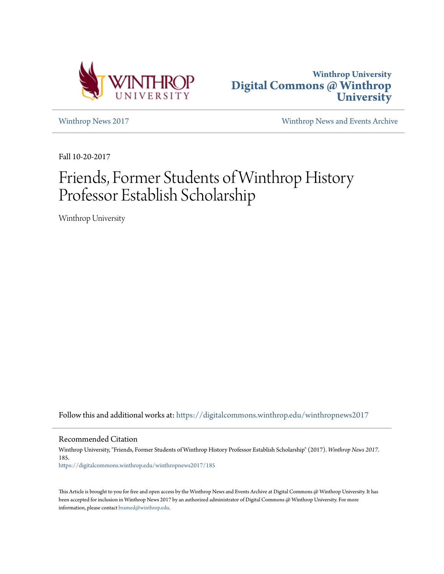



[Winthrop News 2017](https://digitalcommons.winthrop.edu/winthropnews2017?utm_source=digitalcommons.winthrop.edu%2Fwinthropnews2017%2F185&utm_medium=PDF&utm_campaign=PDFCoverPages) [Winthrop News and Events Archive](https://digitalcommons.winthrop.edu/winthropnewsarchives?utm_source=digitalcommons.winthrop.edu%2Fwinthropnews2017%2F185&utm_medium=PDF&utm_campaign=PDFCoverPages)

Fall 10-20-2017

## Friends, Former Students of Winthrop History Professor Establish Scholarship

Winthrop University

Follow this and additional works at: [https://digitalcommons.winthrop.edu/winthropnews2017](https://digitalcommons.winthrop.edu/winthropnews2017?utm_source=digitalcommons.winthrop.edu%2Fwinthropnews2017%2F185&utm_medium=PDF&utm_campaign=PDFCoverPages)

Recommended Citation

Winthrop University, "Friends, Former Students of Winthrop History Professor Establish Scholarship" (2017). *Winthrop News 2017*. 185.

[https://digitalcommons.winthrop.edu/winthropnews2017/185](https://digitalcommons.winthrop.edu/winthropnews2017/185?utm_source=digitalcommons.winthrop.edu%2Fwinthropnews2017%2F185&utm_medium=PDF&utm_campaign=PDFCoverPages)

This Article is brought to you for free and open access by the Winthrop News and Events Archive at Digital Commons @ Winthrop University. It has been accepted for inclusion in Winthrop News 2017 by an authorized administrator of Digital Commons @ Winthrop University. For more information, please contact [bramed@winthrop.edu](mailto:bramed@winthrop.edu).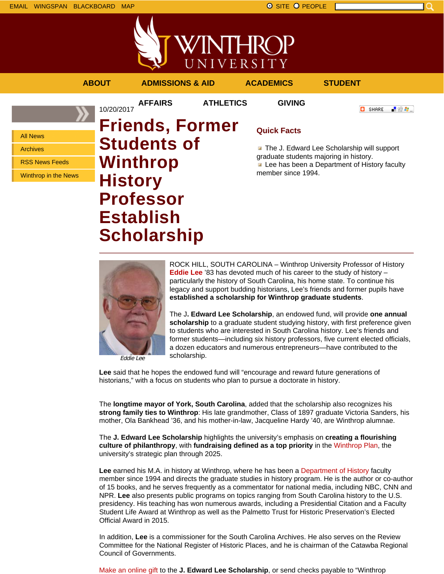







Eddie Lee

ROCK HILL, SOUTH CAROLINA – Winthrop University Professor of History **Eddie Lee** '83 has devoted much of his career to the study of history – particularly the history of South Carolina, his home state. To continue his legacy and support budding historians, Lee's friends and former pupils have **established a scholarship for Winthrop graduate students**.

The J**. Edward Lee Scholarship**, an endowed fund, will provide **one annual** scholarship to a graduate student studying history, with first preference given to students who are interested in South Carolina history. Lee's friends and former students—including six history professors, five current elected officials, a dozen educators and numerous entrepreneurs—have contributed to the scholarship.

**Lee** said that he hopes the endowed fund will "encourage and reward future generations of historians," with a focus on students who plan to pursue a doctorate in history.

The **longtime mayor of York, South Carolina**, added that the scholarship also recognizes his **strong family ties to Winthrop**: His late grandmother, Class of 1897 graduate Victoria Sanders, his mother, Ola Bankhead '36, and his mother-in-law, Jacqueline Hardy '40, are Winthrop alumnae.

The **J. Edward Lee Scholarship** highlights the university's emphasis on **creating a flourishing culture of philanthropy**, with **fundraising defined as a top priority** in the Winthrop Plan, the university's strategic plan through 2025.

**Lee** earned his M.A. in history at Winthrop, where he has been a Department of History faculty member since 1994 and directs the graduate studies in history program. He is the author or co-author of 15 books, and he serves frequently as a commentator for national media, including NBC, CNN and NPR. **Lee** also presents public programs on topics ranging from South Carolina history to the U.S. presidency. His teaching has won numerous awards, including a Presidential Citation and a Faculty Student Life Award at Winthrop as well as the Palmetto Trust for Historic Preservation's Elected Official Award in 2015.

In addition, **Lee** is a commissioner for the South Carolina Archives. He also serves on the Review Committee for the National Register of Historic Places, and he is chairman of the Catawba Regional Council of Governments.

Make an online gift to the **J. Edward Lee Scholarship**, or send checks payable to "Winthrop